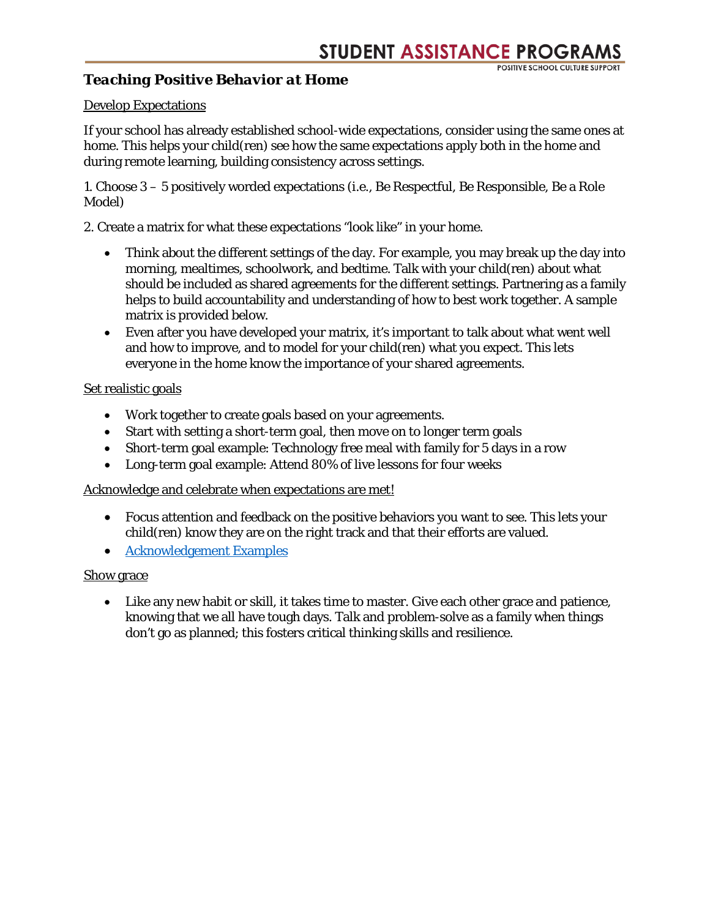### *Teaching Positive Behavior at Home*

#### Develop Expectations

If your school has already established school-wide expectations, consider using the same ones at home. This helps your child(ren) see how the same expectations apply both in the home and during remote learning, building consistency across settings.

1. Choose 3 – 5 positively worded expectations (i.e., Be Respectful, Be Responsible, Be a Role Model)

2. Create a matrix for what these expectations "look like" in your home.

- Think about the different settings of the day. For example, you may break up the day into morning, mealtimes, schoolwork, and bedtime. Talk with your child(ren) about what should be included as shared agreements for the different settings. Partnering as a family helps to build accountability and understanding of how to best work together. A sample matrix is provided below.
- Even after you have developed your matrix, it's important to talk about what went well and how to improve, and to model for your child(ren) what you expect. This lets everyone in the home know the importance of your shared agreements.

#### Set realistic goals

- Work together to create goals based on your agreements.
- Start with setting a short-term goal, then move on to longer term goals
- Short-term goal example: Technology free meal with family for 5 days in a row
- Long-term goal example: Attend 80% of live lessons for four weeks

#### Acknowledge and celebrate when expectations are met!

- Focus attention and feedback on the positive behaviors you want to see. This lets your child(ren) know they are on the right track and that their efforts are valued.
- [Acknowledgement Examples](https://cobbk12org-my.sharepoint.com/:b:/g/personal/kathleen_greb_cobbk12_org/EYDEKSybFvVPqxxhjYB-VnoBkQrTlUNyOXI68AScM8iedg?e=ThiFX8)

#### Show grace

• Like any new habit or skill, it takes time to master. Give each other grace and patience, knowing that we all have tough days. Talk and problem-solve as a family when things don't go as planned; this fosters critical thinking skills and resilience.